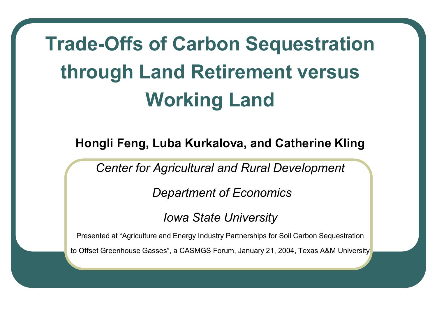# **Trade-Offs of Carbon Sequestration through Land Retirement versus Working Land**

**Hongli Feng, Luba Kurkalova, and Catherine Kling** 

*Center for Agricultural and Rural Development* 

 *Department of Economics* 

*Iowa State University* 

Presented at "Agriculture and Energy Industry Partnerships for Soil Carbon Sequestration

to Offset Greenhouse Gasses", a CASMGS Forum, January 21, 2004, Texas A&M University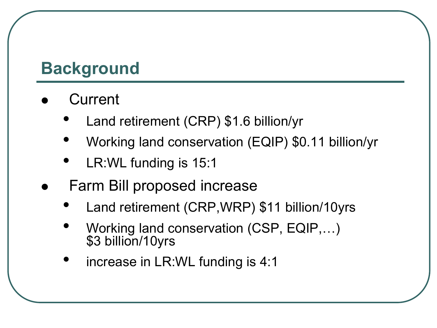## **Background**

- **Current** 
	- Land retirement (CRP) \$1.6 billion/yr
	- Working land conservation (EQIP) \$0.11 billion/yr
	- LR: WL funding is 15:1
- Farm Bill proposed increase
	- Land retirement (CRP,WRP) \$11 billion/10yrs
	- Working land conservation (CSP, EQIP,…) \$3 billion/10yrs
	- increase in LR:WL funding is 4:1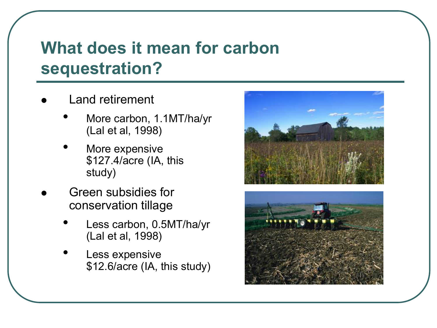## **What does it mean for carbon sequestration?**

- Land retirement
	- More carbon, 1.1MT/ha/yr (Lal et al, 1998)
	- More expensive \$127.4/acre (IA, this study)
- Green subsidies for conservation tillage
	- Less carbon, 0.5MT/ha/yr (Lal et al, 1998)
	- Less expensive \$12.6/acre (IA, this study)



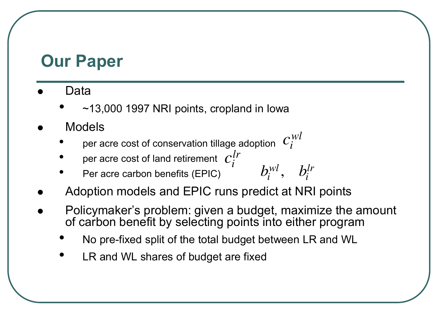#### **Our Paper**

- Data
	- $\sim$ 13,000 1997 NRI points, cropland in Iowa
- Models
	- $\bullet$  per acre cost of conservation tillage adoption  $\;{\it C}_{\it i}^{\it WI}\;$  $c_i^{}$
	- $\bullet$  per acre cost of land retirement  $\; C^{lr}_{i} \;$  $c_i$
	- Per acre carbon benefits (EPIC)
- Adoption models and EPIC runs predict at NRI points
- Policymaker's problem: given a budget, maximize the amount of carbon benefit by selecting points into either program

,  $b_i^{wl}$ *,*  $b_i^{lr}$ 

- No pre-fixed split of the total budget between LR and WL
- LR and WL shares of budget are fixed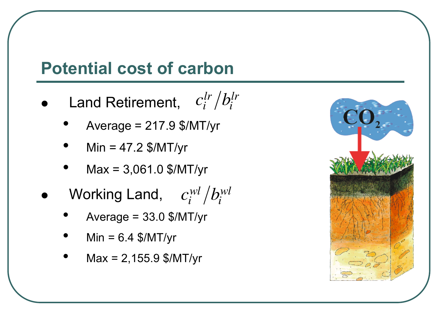#### **Potential cost of carbon**

- **•** Land Retirement,  $c_i^{lr}/b_i^{lr}$ 
	- $Average = 217.9$  \$/MT/yr
	- $Min = 47.2$  \$/MT/yr
	- $Max = 3,061.0$  \$/MT/yr
- $\bullet$  Working Land,  $c_i^{wl}/b_i^{wl}$ 
	- Average =  $33.0$  \$/MT/yr
	- $Min = 6.4$  \$/MT/yr
	- $Max = 2,155.9$  \$/MT/yr

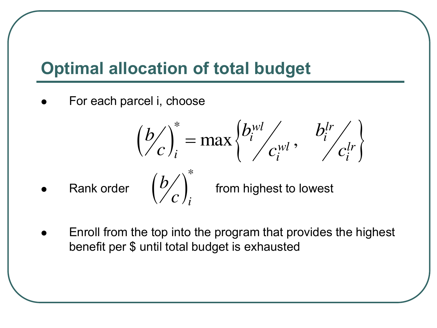## **Optimal allocation of total budget**

 $\left(\frac{b}{c}\right)^*_i$ *b*

*c*

For each parcel i, choose

$$
\left(\frac{b}{c}\right)_i^* = \max\left\{\frac{b_i^{wl}}{c_i^{wl}}, \frac{b_i^{lr}}{c_i^{lr}}\right\}
$$

• Rank order  $\left\lfloor \frac{U}{U} \right\rfloor$  from highest to lowest

 Enroll from the top into the program that provides the highest benefit per \$ until total budget is exhausted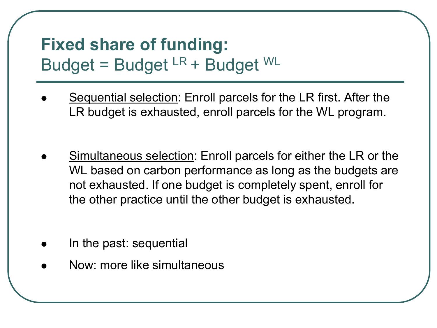#### **Fixed share of funding:**  Budget = Budget  $LR$  + Budget  $WL$

- Sequential selection: Enroll parcels for the LR first. After the LR budget is exhausted, enroll parcels for the WL program.
- Simultaneous selection: Enroll parcels for either the LR or the WL based on carbon performance as long as the budgets are not exhausted. If one budget is completely spent, enroll for the other practice until the other budget is exhausted.
- In the past: sequential
- Now: more like simultaneous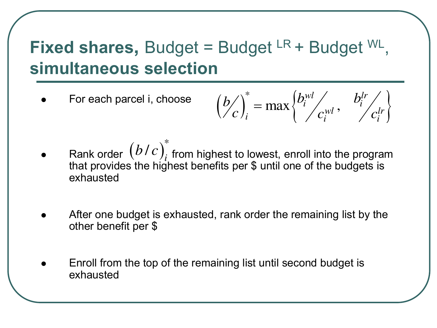## **Fixed shares, Budget = Budget LR + Budget WL, simultaneous selection**

For each parcel i, choose

$$
\left(\frac{b}{c}\right)_i^* = \max\left\{\frac{b_i^{wl}}{c_i^{wl}}, \frac{b_i^{lr}}{c_i^{lr}}\right\}
$$

- Rank order  $(b/c)^*_{i}$  from highest to lowest, enroll into the program that provides the highest benefits per \$ until one of the budgets is exhausted / *i*  $b/c$
- After one budget is exhausted, rank order the remaining list by the other benefit per \$
- Enroll from the top of the remaining list until second budget is exhausted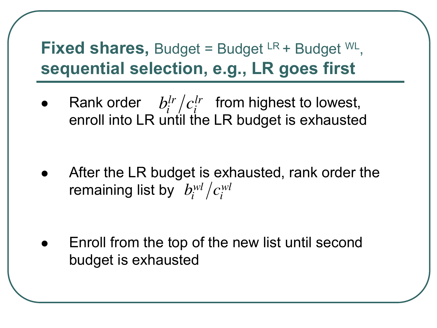## **Fixed shares, Budget = Budget LR + Budget WL, sequential selection, e.g., LR goes first**

• Rank order  $b_i^{lr}/c_i^{lr}$  from highest to lowest, enroll into LR until the LR budget is exhausted

 After the LR budget is exhausted, rank order the remaining list by  $b^{wl}_{i}/c^{wl}_{i}$ 

 Enroll from the top of the new list until second budget is exhausted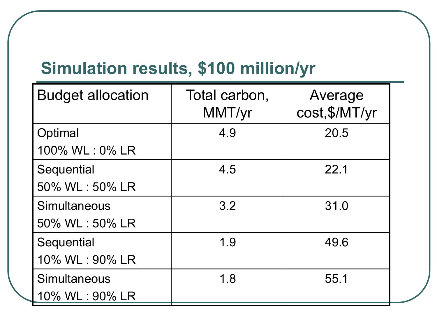# **Simulation results, \$100 million/yr**

| <b>Budget allocation</b> | Total carbon,<br>MMT/yr | Average<br>cost, \$/MT/yr |
|--------------------------|-------------------------|---------------------------|
| Optimal                  | 4.9                     | 20.5                      |
| 100% WL: 0% LR           |                         |                           |
| Sequential               | 4.5                     | 22.1                      |
| 50% WL: 50% LR           |                         |                           |
| Simultaneous             | 3.2                     | 31.0                      |
| 50% WL: 50% LR           |                         |                           |
| Sequential               | 1.9                     | 49.6                      |
| 10% WL: 90% LR           |                         |                           |
| Simultaneous             | 1.8                     | 55.1                      |
| 10% WL: 90% LR           |                         |                           |